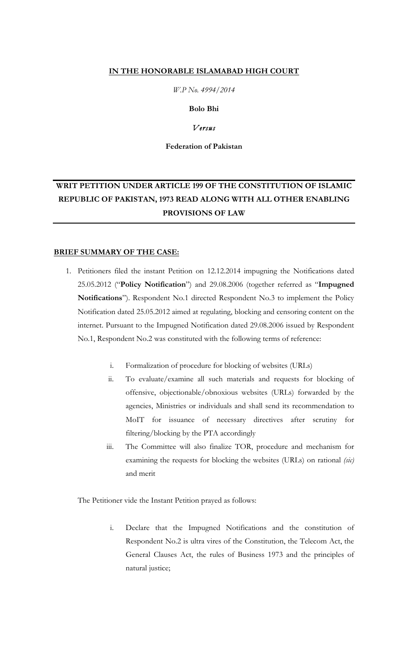#### **IN THE HONORABLE ISLAMABAD HIGH COURT**

*W.P No. 4994/2014*

**Bolo Bhi** 

*Versus* 

**Federation of Pakistan**

# **WRIT PETITION UNDER ARTICLE 199 OF THE CONSTITUTION OF ISLAMIC REPUBLIC OF PAKISTAN, 1973 READ ALONG WITH ALL OTHER ENABLING PROVISIONS OF LAW**

#### **BRIEF SUMMARY OF THE CASE:**

- 1. Petitioners filed the instant Petition on 12.12.2014 impugning the Notifications dated 25.05.2012 ("**Policy Notification**") and 29.08.2006 (together referred as "**Impugned Notifications**"). Respondent No.1 directed Respondent No.3 to implement the Policy Notification dated 25.05.2012 aimed at regulating, blocking and censoring content on the internet. Pursuant to the Impugned Notification dated 29.08.2006 issued by Respondent No.1, Respondent No.2 was constituted with the following terms of reference:
	- i. Formalization of procedure for blocking of websites (URLs)
	- ii. To evaluate/examine all such materials and requests for blocking of offensive, objectionable/obnoxious websites (URLs) forwarded by the agencies, Ministries or individuals and shall send its recommendation to MoIT for issuance of necessary directives after scrutiny for filtering/blocking by the PTA accordingly
	- iii. The Committee will also finalize TOR, procedure and mechanism for examining the requests for blocking the websites (URLs) on rational *(sic)*  and merit

The Petitioner vide the Instant Petition prayed as follows:

i. Declare that the Impugned Notifications and the constitution of Respondent No.2 is ultra vires of the Constitution, the Telecom Act, the General Clauses Act, the rules of Business 1973 and the principles of natural justice;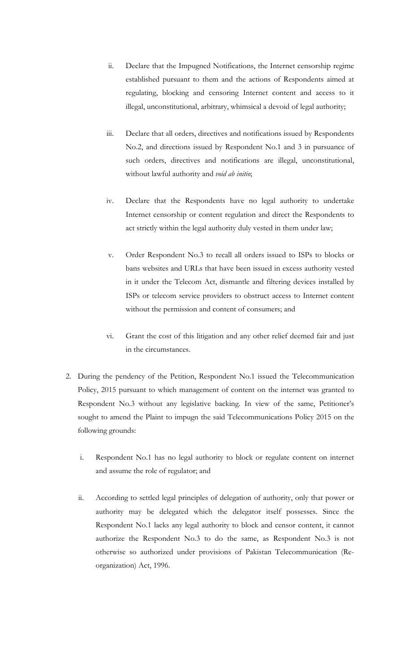- ii. Declare that the Impugned Notifications, the Internet censorship regime established pursuant to them and the actions of Respondents aimed at regulating, blocking and censoring Internet content and access to it illegal, unconstitutional, arbitrary, whimsical a devoid of legal authority;
- iii. Declare that all orders, directives and notifications issued by Respondents No.2, and directions issued by Respondent No.1 and 3 in pursuance of such orders, directives and notifications are illegal, unconstitutional, without lawful authority and *void ab initio*;
- iv. Declare that the Respondents have no legal authority to undertake Internet censorship or content regulation and direct the Respondents to act strictly within the legal authority duly vested in them under law;
- v. Order Respondent No.3 to recall all orders issued to ISPs to blocks or bans websites and URLs that have been issued in excess authority vested in it under the Telecom Act, dismantle and filtering devices installed by ISPs or telecom service providers to obstruct access to Internet content without the permission and content of consumers; and
- vi. Grant the cost of this litigation and any other relief deemed fair and just in the circumstances.
- 2. During the pendency of the Petition, Respondent No.1 issued the Telecommunication Policy, 2015 pursuant to which management of content on the internet was granted to Respondent No.3 without any legislative backing. In view of the same, Petitioner's sought to amend the Plaint to impugn the said Telecommunications Policy 2015 on the following grounds:
	- i. Respondent No.1 has no legal authority to block or regulate content on internet and assume the role of regulator; and
	- ii. According to settled legal principles of delegation of authority, only that power or authority may be delegated which the delegator itself possesses. Since the Respondent No.1 lacks any legal authority to block and censor content, it cannot authorize the Respondent No.3 to do the same, as Respondent No.3 is not otherwise so authorized under provisions of Pakistan Telecommunication (Reorganization) Act, 1996.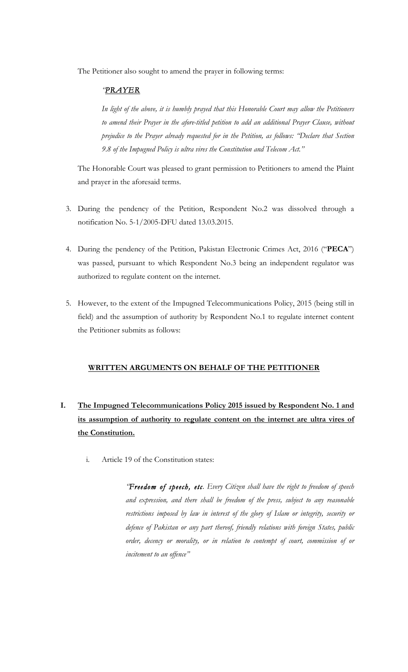The Petitioner also sought to amend the prayer in following terms:

#### *"PRAYER*

*In light of the above, it is humbly prayed that this Honorable Court may allow the Petitioners to amend their Prayer in the afore-titled petition to add an additional Prayer Clause, without prejudice to the Prayer already requested for in the Petition, as follows: "Declare that Section 9.8 of the Impugned Policy is ultra vires the Constitution and Telecom Act."* 

The Honorable Court was pleased to grant permission to Petitioners to amend the Plaint and prayer in the aforesaid terms.

- 3. During the pendency of the Petition, Respondent No.2 was dissolved through a notification No. 5-1/2005-DFU dated 13.03.2015.
- 4. During the pendency of the Petition, Pakistan Electronic Crimes Act, 2016 ("**PECA**") was passed, pursuant to which Respondent No.3 being an independent regulator was authorized to regulate content on the internet.
- 5. However, to the extent of the Impugned Telecommunications Policy, 2015 (being still in field) and the assumption of authority by Respondent No.1 to regulate internet content the Petitioner submits as follows:

#### **WRITTEN ARGUMENTS ON BEHALF OF THE PETITIONER**

- **I. The Impugned Telecommunications Policy 2015 issued by Respondent No. 1 and its assumption of authority to regulate content on the internet are ultra vires of the Constitution.**
	- i. Article 19 of the Constitution states:

*"Freedom of speech, etc. Every Citizen shall have the right to freedom of speech and expression, and there shall be freedom of the press, subject to any reasonable restrictions imposed by law in interest of the glory of Islam or integrity, security or defence of Pakistan or any part thereof, friendly relations with foreign States, public order, decency or morality, or in relation to contempt of court, commission of or incitement to an offence"*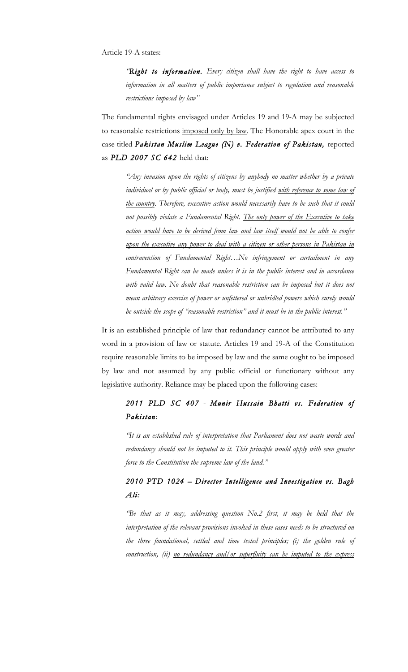Article 19-A states:

*"Right to information. Every citizen shall have the right to have access to information in all matters of public importance subject to regulation and reasonable restrictions imposed by law"*

The fundamental rights envisaged under Articles 19 and 19-A may be subjected to reasonable restrictions imposed only by law. The Honorable apex court in the case titled *Pakistan Muslim League (N) v. Federation of Pakistan,* reported as *PLD 2007 SC 642* held that:

*"Any invasion upon the rights of citizens by anybody no matter whether by a private individual or by public official or body, must be justified with reference to some law of the country. Therefore, executive action would necessarily have to be such that it could not possibly violate a Fundamental Right. The only power of the Executive to take action would have to be derived from law and law itself would not be able to confer upon the executive any power to deal with a citizen or other persons in Pakistan in contravention of Fundamental Right…No infringement or curtailment in any Fundamental Right can be made unless it is in the public interest and in accordance*  with valid law. No doubt that reasonable restriction can be imposed but it does not *mean arbitrary exercise of power or unfettered or unbridled powers which surely would be outside the scope of "reasonable restriction" and it must be in the public interest."*

It is an established principle of law that redundancy cannot be attributed to any word in a provision of law or statute. Articles 19 and 19-A of the Constitution require reasonable limits to be imposed by law and the same ought to be imposed by law and not assumed by any public official or functionary without any legislative authority. Reliance may be placed upon the following cases:

# *2011 PLD SC 407* - *Munir Hussain Bhatti vs. Federation of Pakistan*:

*"It is an established rule of interpretation that Parliament does not waste words and redundancy should not be imputed to it. This principle would apply with even greater force to the Constitution the supreme law of the land."* 

# *2010 PTD 1024 – Director Intelligence and Investigation vs. Bagh Ali:*

*"Be that as it may, addressing question No.2 first, it may be held that the interpretation of the relevant provisions invoked in these cases needs to be structured on the three foundational, settled and time tested principles; (i) the golden rule of construction, (ii) no redundancy and/or superfluity can be imputed to the express*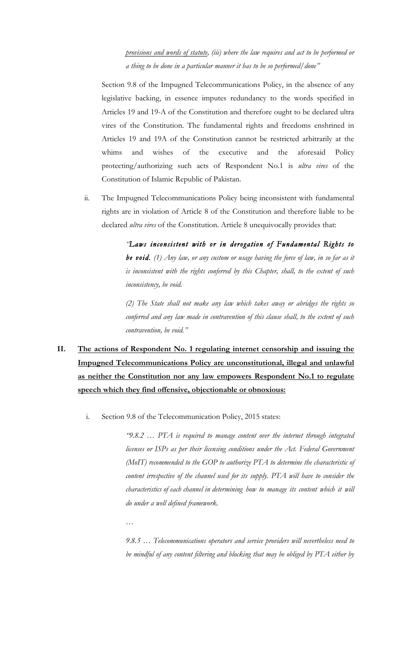*provisions and words of statute, (iii) where the law requires and act to be performed or a thing to be done in a particular manner it has to be so performed/done"* 

Section 9.8 of the Impugned Telecommunications Policy, in the absence of any legislative backing, in essence imputes redundancy to the words specified in Articles 19 and 19-A of the Constitution and therefore ought to be declared ultra vires of the Constitution. The fundamental rights and freedoms enshrined in Articles 19 and 19A of the Constitution cannot be restricted arbitrarily at the whims and wishes of the executive and the aforesaid Policy protecting/authorizing such acts of Respondent No.1 is *ultra vires* of the Constitution of Islamic Republic of Pakistan.

ii. The Impugned Telecommunications Policy being inconsistent with fundamental rights are in violation of Article 8 of the Constitution and therefore liable to be declared *ultra vires* of the Constitution. Article 8 unequivocally provides that:

> *"Laws inconsistent with or in derogation of Fundamental Rights to be void. (1) Any law, or any custom or usage having the force of law, in so far as it is inconsistent with the rights conferred by this Chapter, shall, to the extent of such inconsistency, be void.*

> *(2) The State shall not make any law which takes away or abridges the rights so conferred and any law made in contravention of this clause shall, to the extent of such contravention, be void."*

- **II. The actions of Respondent No. 1 regulating internet censorship and issuing the Impugned Telecommunications Policy are unconstitutional, illegal and unlawful as neither the Constitution nor any law empowers Respondent No.1 to regulate speech which they find offensive, objectionable or obnoxious:**
	- i. Section 9.8 of the Telecommunication Policy, 2015 states:

*"9.8.2 … PTA is required to manage content over the internet through integrated licenses or ISPs as per their licensing conditions under the Act. Federal Government (MoIT) recommended to the GOP to authorize PTA to determine the characteristic of content irrespective of the channel used for its supply. PTA will have to consider the characteristics of each channel in determining how to manage its content which it will do under a well defined framework.*

*…*

*9.8.5 … Telecommunications operators and service providers will nevertheless need to be mindful of any content filtering and blocking that may be obliged by PTA either by*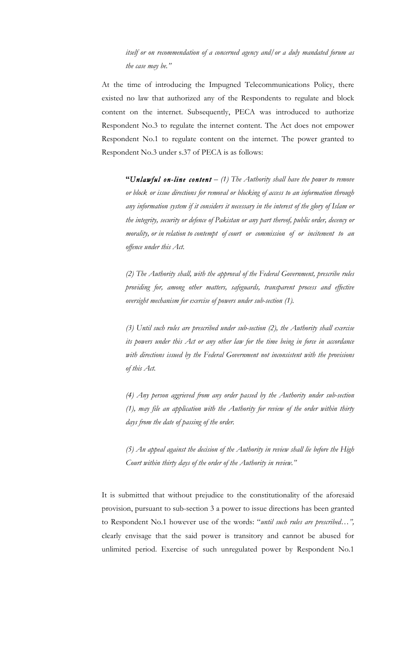*itself or on recommendation of a concerned agency and/or a duly mandated forum as the case may be."*

At the time of introducing the Impugned Telecommunications Policy, there existed no law that authorized any of the Respondents to regulate and block content on the internet. Subsequently, PECA was introduced to authorize Respondent No.3 to regulate the internet content. The Act does not empower Respondent No.1 to regulate content on the internet. The power granted to Respondent No.3 under s.37 of PECA is as follows:

**"***Unlawful on-line content – (1) The Authority shall have the power to remove or block or issue directions for removal or blocking of access to an information through any information system if it considers it necessary in the interest of the glory of Islam or the integrity, security or defence of Pakistan or any part thereof, public order, decency or morality, or in relation to contempt of court or commission of or incitement to an offence under this Act.*

*(2) The Authority shall, with the approval of the Federal Government, prescribe rules providing for, among other matters, safeguards, transparent process and effective oversight mechanism for exercise of powers under sub-section (1).*

*(3) Until such rules are prescribed under sub-section (2), the Authority shall exercise its powers under this Act or any other law for the time being in force in accordance with directions issued by the Federal Government not inconsistent with the provisions of this Act.*

*(4) Any person aggrieved from any order passed by the Authority under sub-section (1), may file an application with the Authority for review of the order within thirty days from the date of passing of the order.*

*(5) An appeal against the decision of the Authority in review shall lie before the High Court within thirty days of the order of the Authority in review."*

It is submitted that without prejudice to the constitutionality of the aforesaid provision, pursuant to sub-section 3 a power to issue directions has been granted to Respondent No.1 however use of the words: "*until such rules are prescribed…",*  clearly envisage that the said power is transitory and cannot be abused for unlimited period. Exercise of such unregulated power by Respondent No.1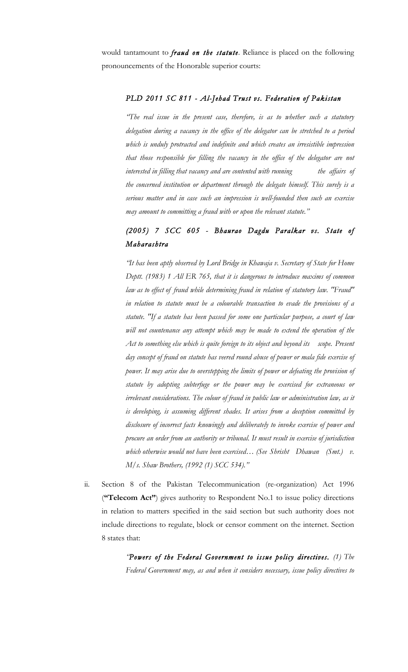would tantamount to *fraud on the statute*. Reliance is placed on the following pronouncements of the Honorable superior courts:

#### *PLD 2011 SC 811 - Al-Jehad Trust vs. Federation of Pakistan*

*"The real issue in the present case, therefore, is as to whether such a statutory delegation during a vacancy in the office of the delegator can be stretched to a period which is unduly protracted and indefinite and which creates an irresistible impression that those responsible for filling the vacancy in the office of the delegator are not interested in filling that vacancy and are contented with running the affairs of the concerned institution or department through the delegate himself. This surely is a serious matter and in case such an impression is well-founded then such an exercise may amount to committing a fraud with or upon the relevant statute."*

#### *(2005) 7 SCC 605 - Bhaurao Dagdu Paralkar vs. State of Maharashtra*

*"It has been aptly observed by Lord Bridge in Khawaja v. Secretary of State for Home Deptt. (1983) 1 All ER 765, that it is dangerous to introduce maxims of common law as to effect of fraud while determining fraud in relation of statutory law. "Fraud" in relation to statute must be a colourable transaction to evade the provisions of a statute. "If a statute has been passed for some one particular purpose, a court of law will not countenance any attempt which may be made to extend the operation of the Act to something else which is quite foreign to its object and beyond its scope. Present day concept of fraud on statute has veered round abuse of power or mala fide exercise of power. It may arise due to overstepping the limits of power or defeating the provision of statute by adopting subterfuge or the power may be exercised for extraneous or irrelevant considerations. The colour of fraud in public law or administration law, as it is developing, is assuming different shades. It arises from a deception committed by disclosure of incorrect facts knowingly and deliberately to invoke exercise of power and procure an order from an authority or tribunal. It must result in exercise of jurisdiction which otherwise would not have been exercised… (See Shrisht Dhawan (Smt.) v. M/s. Shaw Brothers, (1992 (1) SCC 534)."*

ii. Section 8 of the Pakistan Telecommunication (re-organization) Act 1996 (**"Telecom Act"**) gives authority to Respondent No.1 to issue policy directions in relation to matters specified in the said section but such authority does not include directions to regulate, block or censor comment on the internet. Section 8 states that:

> *"Powers of the Federal Government to issue policy directives. (1) The Federal Government may, as and when it considers necessary, issue policy directives to*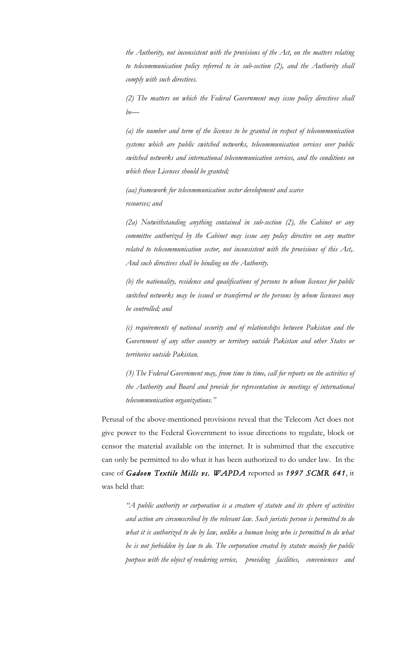*the Authority, not inconsistent with the provisions of the Act, on the matters relating to telecommunication policy referred to in sub-section (2), and the Authority shall comply with such directives.* 

*(2) The matters on which the Federal Government may issue policy directives shall be—*

*(a) the number and term of the licenses to be granted in respect of telecommunication systems which are public switched networks, telecommunication services over public switched networks and international telecommunication services, and the conditions on which those Licenses should be granted;*

*(aa) framework for telecommunication sector development and scarce resources; and* 

*(2a) Notwithstanding anything contained in sub-section (2), the Cabinet or any committee authorized by the Cabinet may issue any policy directive on any matter related to telecommunication sector, not inconsistent with the provisions of this Act,. And such directives shall be binding on the Authority.*

*(b) the nationality, residence and qualifications of persons to whom licenses for public switched networks may be issued or transferred or the persons by whom licensees may be controlled; and* 

*(c) requirements of national security and of relationships between Pakistan and the Government of any other country or territory outside Pakistan and other States or territories outside Pakistan.* 

*(3) The Federal Government may, from time to time, call for reports on the activities of the Authority and Board and provide for representation in meetings of international telecommunication organizations."*

Perusal of the above-mentioned provisions reveal that the Telecom Act does not give power to the Federal Government to issue directions to regulate, block or censor the material available on the internet. It is submitted that the executive can only be permitted to do what it has been authorized to do under law. In the case of *Gadoon Textile Mills vs. WAPDA* reported as *1997 SCMR 641*, it was held that:

*"A public authority or corporation is a creature of statute and its sphere of activities and action are circumscribed by the relevant law. Such juristic person is permitted to do what it is authorized to do by law, unlike a human being who is permitted to do what he is not forbidden by law to do. The corporation created by statute mainly for public purpose with the object of rendering service, providing facilities, conveniences and*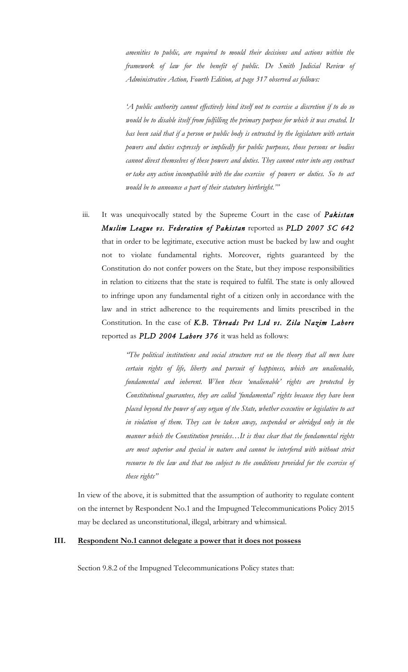*amenities to public, are required to mould their decisions and actions within the framework of law for the benefit of public. De Smith Judicial Review of Administrative Action, Fourth Edition, at page 317 observed as follows:*

*'A public authority cannot effectively bind itself not to exercise a discretion if to do so would be to disable itself from fulfilling the primary purpose for which it was created. It has been said that if a person or public body is entrusted by the legislature with certain powers and duties expressly or impliedly for public purposes, those persons or bodies cannot divest themselves of these powers and duties. They cannot enter into any contract or take any action incompatible with the due exercise of powers or duties. So to act would be to announce a part of their statutory birthright.'"*

iii. It was unequivocally stated by the Supreme Court in the case of *Pakistan Muslim League vs. Federation of Pakistan* reported as *PLD 2007 SC 642* that in order to be legitimate, executive action must be backed by law and ought not to violate fundamental rights. Moreover, rights guaranteed by the Constitution do not confer powers on the State, but they impose responsibilities in relation to citizens that the state is required to fulfil. The state is only allowed to infringe upon any fundamental right of a citizen only in accordance with the law and in strict adherence to the requirements and limits prescribed in the Constitution. In the case of *K.B. Threads Pvt Ltd vs. Zila Nazim Lahore*  reported as *PLD 2004 Lahore 376* it was held as follows:

> *"The political institutions and social structure rest on the theory that all men have certain rights of life, liberty and pursuit of happiness, which are unalienable, fundamental and inherent. When these 'unalienable' rights are protected by Constitutional guarantees, they are called 'fundamental' rights because they have been placed beyond the power of any organ of the State, whether executive or legislative to act in violation of them. They can be taken away, suspended or abridged only in the manner which the Constitution provides…It is thus clear that the fundamental rights are most superior and special in nature and cannot be interfered with without strict recourse to the law and that too subject to the conditions provided for the exercise of these rights"*

In view of the above, it is submitted that the assumption of authority to regulate content on the internet by Respondent No.1 and the Impugned Telecommunications Policy 2015 may be declared as unconstitutional, illegal, arbitrary and whimsical.

#### **III. Respondent No.1 cannot delegate a power that it does not possess**

Section 9.8.2 of the Impugned Telecommunications Policy states that: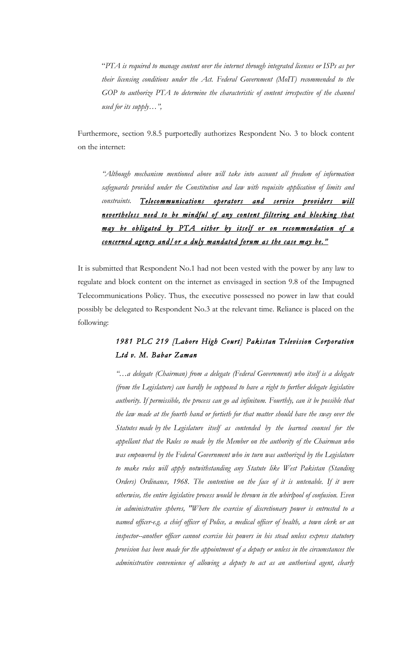"*PTA is required to manage content over the internet through integrated licenses or ISPs as per their licensing conditions under the Act. Federal Government (MoIT) recommended to the GOP to authorize PTA to determine the characteristic of content irrespective of the channel used for its supply…",* 

Furthermore, section 9.8.5 purportedly authorizes Respondent No. 3 to block content on the internet:

*"Although mechanism mentioned above will take into account all freedom of information safeguards provided under the Constitution and law with requisite application of limits and constraints. Telecommunications operators and service providers will nevertheless need to be mindful of any content filtering and blocking that may be obligated by PTA either by itself or on recommendation of a concerned agency and/or a duly mandated forum as the case may be."*

It is submitted that Respondent No.1 had not been vested with the power by any law to regulate and block content on the internet as envisaged in section 9.8 of the Impugned Telecommunications Policy. Thus, the executive possessed no power in law that could possibly be delegated to Respondent No.3 at the relevant time. Reliance is placed on the following:

#### *1981 PLC 219 [Lahore High Court] Pakistan Television Corporation Ltd v. M. Babar Zaman*

*"…a delegate (Chairman) from a delegate (Federal Government) who itself is a delegate (from the Legislature) can hardly be supposed to have a right to further delegate legislative authority. If permissible, the process can go ad infinitum. Fourthly, can it be possible that the law made at the fourth hand or fortieth for that matter should have the sway over the Statutes made by the Legislature itself as contended by the learned counsel for the appellant that the Rules so made by the Member on the authority of the Chairman who*  was empowered by the Federal Government who in turn was authorized by the Legislature *to make rules will apply notwithstanding any Statute like West Pakistan (Standing Orders) Ordinance, 1968. The contention on the face of it is untenable. If it were otherwise, the entire legislative process would be thrown in the whirlpool of confusion. Even in administrative spheres, "Where the exercise of discretionary power is entrusted to a named officer-e.g. a chief officer of Police, a medical officer of health, a town clerk or an inspector--another officer cannot exercise his powers in his stead unless express statutory provision has been made for the appointment of a deputy or unless in the circumstances the administrative convenience of allowing a deputy to act as an authorised agent, clearly*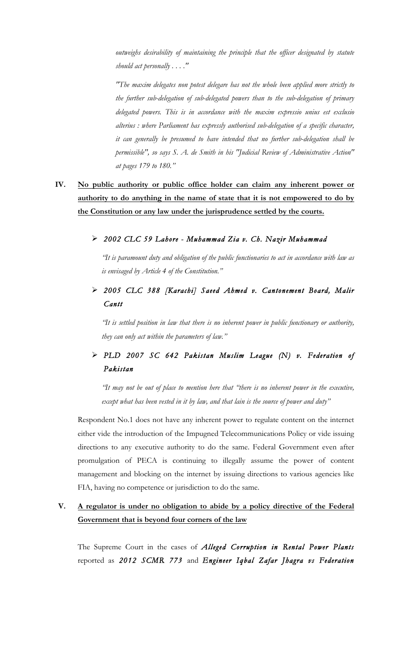*outweighs desirability of maintaining the principle that the officer designated by statute should act personally . . . ."* 

*"The maxim delegates non potest delegare has not the whole been applied more strictly to the further sub-delegation of sub-delegated powers than to the sub-delegation of primary delegated powers. This is in accordance with the maxim expressio unius est exclusio alterius : where Parliament has expressly authorised sub-delegation of a specific character, it can generally be presumed to have intended that no further sub-delegation shall be permissible", so says S. A. de Smith in his "Judicial Review of Administrative Action" at pages 179 to 180."*

- **IV. No public authority or public office holder can claim any inherent power or authority to do anything in the name of state that it is not empowered to do by the Constitution or any law under the jurisprudence settled by the courts.**
	- Ø *2002 CLC 59 Lahore Muhammad Zia v. Ch. Nazir Muhammad*

*"It is paramount duty and obligation of the public functionaries to act in accordance with law as is envisaged by Article 4 of the Constitution."*

Ø *2005 CLC 388 [Karachi] Saeed Ahmed v. Cantonement Board, Malir Cantt* 

*"It is settled position in law that there is no inherent power in public functionary or authority, they can only act within the parameters of law."*

# Ø *PLD 2007 SC 642 Pakistan Muslim League (N) v. Federation of Pakistan*

*"It may not be out of place to mention here that "there is no inherent power in the executive, except what has been vested in it by law, and that lain is the source of power and duty"*

Respondent No.1 does not have any inherent power to regulate content on the internet either vide the introduction of the Impugned Telecommunications Policy or vide issuing directions to any executive authority to do the same. Federal Government even after promulgation of PECA is continuing to illegally assume the power of content management and blocking on the internet by issuing directions to various agencies like FIA, having no competence or jurisdiction to do the same.

# **V. A regulator is under no obligation to abide by a policy directive of the Federal Government that is beyond four corners of the law**

The Supreme Court in the cases of *Alleged Corruption in Rental Power Plants*  reported as *2012 SCMR 773* and *Engineer Iqbal Zafar Jhagra vs Federation*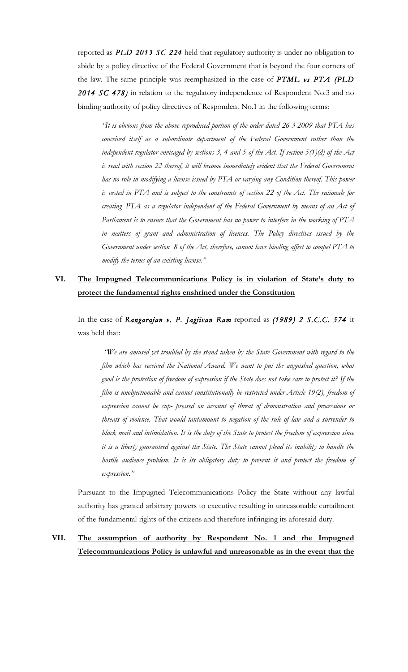reported as *PLD 2013 SC 224* held that regulatory authority is under no obligation to abide by a policy directive of the Federal Government that is beyond the four corners of the law. The same principle was reemphasized in the case of *PTML vs PTA (PLD 2014 SC 478)* in relation to the regulatory independence of Respondent No.3 and no binding authority of policy directives of Respondent No.1 in the following terms:

*"It is obvious from the above reproduced portion of the order dated 26-3-2009 that PTA has conceived itself as a subordinate department of the Federal Government rather than the independent regulator envisaged by sections 3, 4 and 5 of the Act. If section 5(1)(d) of the Act is read with section 22 thereof, it will become immediately evident that the Federal Government has no role in modifying a license issued by PTA or varying any Condition thereof. This power is vested in PTA and is subject to the constraints of section 22 of the Act. The rationale for creating PTA as a regulator independent of the Federal Government by means of an Act of Parliament is to ensure that the Government has no power to interfere in the working of PTA in matters of grant and administration of licenses. The Policy directives issued by the Government under section 8 of the Act, therefore, cannot have binding affect to compel PTA to modify the terms of an existing license."*

# **VI. The Impugned Telecommunications Policy is in violation of State's duty to protect the fundamental rights enshrined under the Constitution**

In the case of *Rangarajan v. P. Jagjivan Ram* reported as *(1989) 2 S.C.C. 574* it was held that:

*"We are amused yet troubled by the stand taken by the State Government with regard to the film which has received the National Award. We want to put the anguished question, what good is the protection of freedom of expression if the State does not take care to protect it? If the film is unobjectionable and cannot constitutionally be restricted under Article 19(2), freedom of expression cannot be sup- pressed on account of threat of demonstration and processions or threats of violence. That would tantamount to negation of the rule of law and a surrender to black mail and intimidation. It is the duty of the State to protect the freedom of expression since it is a liberty guaranteed against the State. The State cannot plead its inability to handle the hostile audience problem. It is its obligatory duty to prevent it and protect the freedom of expression."*

Pursuant to the Impugned Telecommunications Policy the State without any lawful authority has granted arbitrary powers to executive resulting in unreasonable curtailment of the fundamental rights of the citizens and therefore infringing its aforesaid duty.

# **VII. The assumption of authority by Respondent No. 1 and the Impugned Telecommunications Policy is unlawful and unreasonable as in the event that the**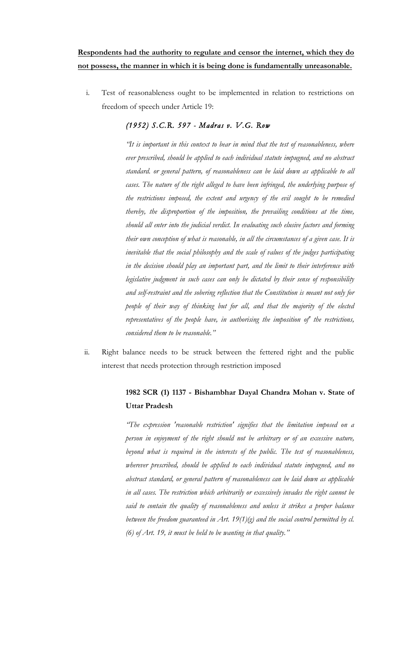**Respondents had the authority to regulate and censor the internet, which they do not possess, the manner in which it is being done is fundamentally unreasonable.**

i. Test of reasonableness ought to be implemented in relation to restrictions on freedom of speech under Article 19:

#### *(1952) S.C.R. 597 - Madras v. V.G. Row*

*"It is important in this context to bear in mind that the test of reasonableness, where ever prescribed, should be applied to each individual statute impugned, and no abstract standard. or general pattern, of reasonableness can be laid down as applicable to all*  cases. The nature of the right alleged to have been infringed, the underlying purpose of *the restrictions imposed, the extent and urgency of the evil sought to be remedied thereby, the disproportion of the imposition, the prevailing conditions at the time, should all enter into the judicial verdict. In evaluating such elusive factors and forming their own conception of what is reasonable, in all the circumstances of a given case. It is inevitable that the social philosophy and the scale of values of the judges participating in the decision should play an important part, and the limit to their interference with legislative judgment in such cases can only be dictated by their sense of responsibility and self-restraint and the sobering reflection that the Constitution is meant not only for people of their way of thinking but for all, and that the majority of the elected representatives of the people have, in authorising the imposition of' the restrictions, considered them to be reasonable."*

ii. Right balance needs to be struck between the fettered right and the public interest that needs protection through restriction imposed

#### **1982 SCR (1) 1137 - Bishambhar Dayal Chandra Mohan v. State of Uttar Pradesh**

*"The expression 'reasonable restriction' signifies that the limitation imposed on a person in enjoyment of the right should not be arbitrary or of an excessive nature, beyond what is required in the interests of the public. The test of reasonableness, wherever prescribed, should be applied to each individual statute impugned, and no abstract standard, or general pattern of reasonableness can be laid down as applicable in all cases. The restriction which arbitrarily or excessively invades the right cannot be said to contain the quality of reasonableness and unless it strikes a proper balance between the freedom guaranteed in Art. 19(1)(g) and the social control permitted by cl. (6) of Art. 19, it must be held to be wanting in that quality."*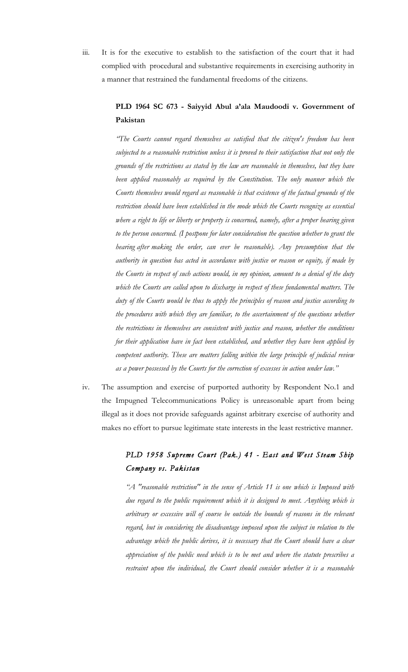iii. It is for the executive to establish to the satisfaction of the court that it had complied with procedural and substantive requirements in exercising authority in a manner that restrained the fundamental freedoms of the citizens.

#### **PLD 1964 SC 673 - Saiyyid Abul a'ala Maudoodi v. Government of Pakistan**

*"The Courts cannot regard themselves as satisfied that the citizen's freedom has been subjected to a reasonable restriction unless it is proved to their satisfaction that not only the grounds of the restrictions as stated by the law are reasonable in themselves, but they have*  been applied reasonably as required by the Constitution. The only manner which the *Courts themselves would regard as reasonable is that existence of the factual grounds of the restriction should have been established in the mode which the Courts recognize as essential where a right to life or liberty or property is concerned, namely, after a proper hearing given to the person concerned. (I postpone for later consideration the question whether to grant the hearing after making the order, can ever be reasonable). Any presumption that the authority in question has acted in accordance with justice or reason or equity, if made by the Courts in respect of such actions would, in my opinion, amount to a denial of the duty which the Courts are called upon to discharge in respect of these fundamental matters. The duty of the Courts would be thus to apply the principles of reason and justice according to the procedures with which they are familiar, to the ascertainment of the questions whether the restrictions in themselves are consistent with justice and reason, whether the conditions for their application have in fact been established, and whether they have been applied by competent authority. These are matters falling within the large principle of judicial review as a power possessed by the Courts for the correction of excesses in action under law."*

iv. The assumption and exercise of purported authority by Respondent No.1 and the Impugned Telecommunications Policy is unreasonable apart from being illegal as it does not provide safeguards against arbitrary exercise of authority and makes no effort to pursue legitimate state interests in the least restrictive manner.

# *PLD 1958 Supreme Court (Pak.) 41 - East and West Steam Ship Company vs. Pakistan*

*"A "reasonable restriction" in the sense of Article 11 is one which is Imposed with due regard to the public requirement which it is designed to meet. Anything which is arbitrary or excessive will of course be outside the bounds of reasons in the relevant regard, but in considering the disadvantage imposed upon the subject in relation to the advantage which the public derives, it is necessary that the Court should have a clear appreciation of the public need which is to be met and where the statute prescribes a restraint upon the individual, the Court should consider whether it is a reasonable*